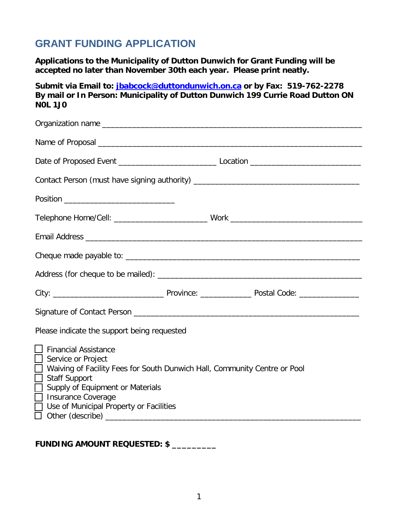# **GRANT FUNDING APPLICATION**

**Applications to the Municipality of Dutton Dunwich for Grant Funding will be accepted no later than November 30th each year. Please print neatly.**

**Submit via Email to: [jbabcock@duttondunwich.on.ca](mailto:jbabcock@duttondunwich.on.ca) or by Fax: 519-762-2278 By mail or In Person: Municipality of Dutton Dunwich 199 Currie Road Dutton ON N0L 1J0**

| Contact Person (must have signing authority) ___________________________________                                                                                                                                                                                                                               |  |
|----------------------------------------------------------------------------------------------------------------------------------------------------------------------------------------------------------------------------------------------------------------------------------------------------------------|--|
|                                                                                                                                                                                                                                                                                                                |  |
|                                                                                                                                                                                                                                                                                                                |  |
|                                                                                                                                                                                                                                                                                                                |  |
|                                                                                                                                                                                                                                                                                                                |  |
|                                                                                                                                                                                                                                                                                                                |  |
|                                                                                                                                                                                                                                                                                                                |  |
|                                                                                                                                                                                                                                                                                                                |  |
| Please indicate the support being requested                                                                                                                                                                                                                                                                    |  |
| <b>Financial Assistance</b><br>Service or Project<br>Waiving of Facility Fees for South Dunwich Hall, Community Centre or Pool<br><b>Staff Support</b><br>$\mathbf{L}$<br>Supply of Equipment or Materials<br><b>Insurance Coverage</b><br><b>College</b><br>Use of Municipal Property or Facilities<br>$\Box$ |  |

**FUNDING AMOUNT REQUESTED: \$ \_\_\_\_\_\_\_\_\_**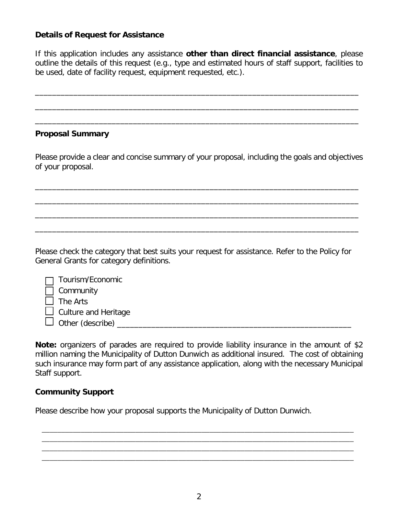### **Details of Request for Assistance**

If this application includes any assistance **other than direct financial assistance**, please outline the details of this request (e.g., type and estimated hours of staff support, facilities to be used, date of facility request, equipment requested, etc.).

\_\_\_\_\_\_\_\_\_\_\_\_\_\_\_\_\_\_\_\_\_\_\_\_\_\_\_\_\_\_\_\_\_\_\_\_\_\_\_\_\_\_\_\_\_\_\_\_\_\_\_\_\_\_\_\_\_\_\_\_\_\_\_\_\_\_\_\_\_\_\_\_\_\_\_\_

\_\_\_\_\_\_\_\_\_\_\_\_\_\_\_\_\_\_\_\_\_\_\_\_\_\_\_\_\_\_\_\_\_\_\_\_\_\_\_\_\_\_\_\_\_\_\_\_\_\_\_\_\_\_\_\_\_\_\_\_\_\_\_\_\_\_\_\_\_\_\_\_\_\_\_\_

\_\_\_\_\_\_\_\_\_\_\_\_\_\_\_\_\_\_\_\_\_\_\_\_\_\_\_\_\_\_\_\_\_\_\_\_\_\_\_\_\_\_\_\_\_\_\_\_\_\_\_\_\_\_\_\_\_\_\_\_\_\_\_\_\_\_\_\_\_\_\_\_\_\_\_\_

### **Proposal Summary**

Please provide a clear and concise summary of your proposal, including the goals and objectives of your proposal.

\_\_\_\_\_\_\_\_\_\_\_\_\_\_\_\_\_\_\_\_\_\_\_\_\_\_\_\_\_\_\_\_\_\_\_\_\_\_\_\_\_\_\_\_\_\_\_\_\_\_\_\_\_\_\_\_\_\_\_\_\_\_\_\_\_\_\_\_\_\_\_\_\_\_\_\_

\_\_\_\_\_\_\_\_\_\_\_\_\_\_\_\_\_\_\_\_\_\_\_\_\_\_\_\_\_\_\_\_\_\_\_\_\_\_\_\_\_\_\_\_\_\_\_\_\_\_\_\_\_\_\_\_\_\_\_\_\_\_\_\_\_\_\_\_\_\_\_\_\_\_\_\_

\_\_\_\_\_\_\_\_\_\_\_\_\_\_\_\_\_\_\_\_\_\_\_\_\_\_\_\_\_\_\_\_\_\_\_\_\_\_\_\_\_\_\_\_\_\_\_\_\_\_\_\_\_\_\_\_\_\_\_\_\_\_\_\_\_\_\_\_\_\_\_\_\_\_\_\_

\_\_\_\_\_\_\_\_\_\_\_\_\_\_\_\_\_\_\_\_\_\_\_\_\_\_\_\_\_\_\_\_\_\_\_\_\_\_\_\_\_\_\_\_\_\_\_\_\_\_\_\_\_\_\_\_\_\_\_\_\_\_\_\_\_\_\_\_\_\_\_\_\_\_\_\_

Please check the category that best suits your request for assistance. Refer to the Policy for General Grants for category definitions.

| $\Box$ Tourism/Economic     |  |
|-----------------------------|--|
| Community                   |  |
| The Arts                    |  |
| $\Box$ Culture and Heritage |  |
| $\Box$ Other (describe)     |  |

**Note:** organizers of parades are required to provide liability insurance in the amount of \$2 million naming the Municipality of Dutton Dunwich as additional insured. The cost of obtaining such insurance may form part of any assistance application, along with the necessary Municipal Staff support.

#### **Community Support**

Please describe how your proposal supports the Municipality of Dutton Dunwich.

\_\_\_\_\_\_\_\_\_\_\_\_\_\_\_\_\_\_\_\_\_\_\_\_\_\_\_\_\_\_\_\_\_\_\_\_\_\_\_\_\_\_\_\_\_\_\_\_\_\_\_\_\_\_\_\_\_\_\_\_\_\_\_\_\_\_\_\_\_\_\_\_\_\_\_\_\_\_\_\_ \_\_\_\_\_\_\_\_\_\_\_\_\_\_\_\_\_\_\_\_\_\_\_\_\_\_\_\_\_\_\_\_\_\_\_\_\_\_\_\_\_\_\_\_\_\_\_\_\_\_\_\_\_\_\_\_\_\_\_\_\_\_\_\_\_\_\_\_\_\_\_\_\_\_\_\_\_\_\_\_ \_\_\_\_\_\_\_\_\_\_\_\_\_\_\_\_\_\_\_\_\_\_\_\_\_\_\_\_\_\_\_\_\_\_\_\_\_\_\_\_\_\_\_\_\_\_\_\_\_\_\_\_\_\_\_\_\_\_\_\_\_\_\_\_\_\_\_\_\_\_\_\_\_\_\_\_\_\_\_\_ \_\_\_\_\_\_\_\_\_\_\_\_\_\_\_\_\_\_\_\_\_\_\_\_\_\_\_\_\_\_\_\_\_\_\_\_\_\_\_\_\_\_\_\_\_\_\_\_\_\_\_\_\_\_\_\_\_\_\_\_\_\_\_\_\_\_\_\_\_\_\_\_\_\_\_\_\_\_\_\_